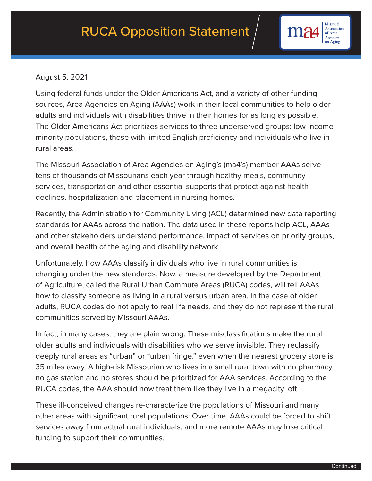## August 5, 2021

Using federal funds under the Older Americans Act, and a variety of other funding sources, Area Agencies on Aging (AAAs) work in their local communities to help older adults and individuals with disabilities thrive in their homes for as long as possible. The Older Americans Act prioritizes services to three underserved groups: low-income minority populations, those with limited English proficiency and individuals who live in rural areas.

The Missouri Association of Area Agencies on Aging's (ma4's) member AAAs serve tens of thousands of Missourians each year through healthy meals, community services, transportation and other essential supports that protect against health declines, hospitalization and placement in nursing homes.

Recently, the Administration for Community Living (ACL) determined new data reporting standards for AAAs across the nation. The data used in these reports help ACL, AAAs and other stakeholders understand performance, impact of services on priority groups, and overall health of the aging and disability network.

Unfortunately, how AAAs classify individuals who live in rural communities is changing under the new standards. Now, a measure developed by the Department of Agriculture, called the Rural Urban Commute Areas (RUCA) codes, will tell AAAs how to classify someone as living in a rural versus urban area. In the case of older adults, RUCA codes do not apply to real life needs, and they do not represent the rural communities served by Missouri AAAs.

In fact, in many cases, they are plain wrong. These misclassifications make the rural older adults and individuals with disabilities who we serve invisible. They reclassify deeply rural areas as "urban" or "urban fringe," even when the nearest grocery store is 35 miles away. A high-risk Missourian who lives in a small rural town with no pharmacy, no gas station and no stores should be prioritized for AAA services. According to the RUCA codes, the AAA should now treat them like they live in a megacity loft.

These ill-conceived changes re-characterize the populations of Missouri and many other areas with significant rural populations. Over time, AAAs could be forced to shift services away from actual rural individuals, and more remote AAAs may lose critical funding to support their communities.